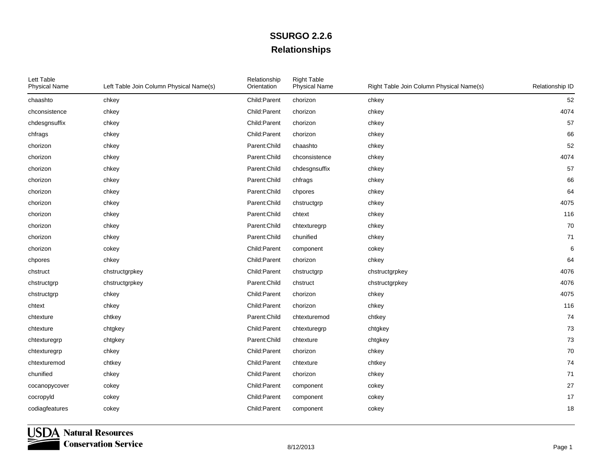| Lett Table<br><b>Physical Name</b> | Left Table Join Column Physical Name(s) | Relationship<br>Orientation | <b>Right Table</b><br><b>Physical Name</b> | Right Table Join Column Physical Name(s) | Relationship ID |
|------------------------------------|-----------------------------------------|-----------------------------|--------------------------------------------|------------------------------------------|-----------------|
| chaashto                           | chkey                                   | Child:Parent                | chorizon                                   | chkey                                    | 52              |
| chconsistence                      | chkey                                   | Child:Parent                | chorizon                                   | chkey                                    | 4074            |
| chdesgnsuffix                      | chkey                                   | Child:Parent                | chorizon                                   | chkey                                    | 57              |
| chfrags                            | chkey                                   | Child:Parent                | chorizon                                   | chkey                                    | 66              |
| chorizon                           | chkey                                   | Parent:Child                | chaashto                                   | chkey                                    | 52              |
| chorizon                           | chkey                                   | Parent:Child                | chconsistence                              | chkey                                    | 4074            |
| chorizon                           | chkey                                   | Parent:Child                | chdesgnsuffix                              | chkey                                    | 57              |
| chorizon                           | chkey                                   | Parent: Child               | chfrags                                    | chkey                                    | 66              |
| chorizon                           | chkey                                   | Parent: Child               | chpores                                    | chkey                                    | 64              |
| chorizon                           | chkey                                   | Parent:Child                | chstructgrp                                | chkey                                    | 4075            |
| chorizon                           | chkey                                   | Parent: Child               | chtext                                     | chkey                                    | 116             |
| chorizon                           | chkey                                   | Parent: Child               | chtexturegrp                               | chkey                                    | 70              |
| chorizon                           | chkey                                   | Parent: Child               | chunified                                  | chkey                                    | $71$            |
| chorizon                           | cokey                                   | Child:Parent                | component                                  | cokey                                    | 6               |
| chpores                            | chkey                                   | Child:Parent                | chorizon                                   | chkey                                    | 64              |
| chstruct                           | chstructgrpkey                          | Child:Parent                | chstructgrp                                | chstructgrpkey                           | 4076            |
| chstructgrp                        | chstructgrpkey                          | Parent:Child                | chstruct                                   | chstructgrpkey                           | 4076            |
| chstructgrp                        | chkey                                   | Child:Parent                | chorizon                                   | chkey                                    | 4075            |
| chtext                             | chkey                                   | Child:Parent                | chorizon                                   | chkey                                    | 116             |
| chtexture                          | chtkey                                  | Parent: Child               | chtexturemod                               | chtkey                                   | 74              |
| chtexture                          | chtgkey                                 | Child:Parent                | chtexturegrp                               | chtgkey                                  | 73              |
| chtexturegrp                       | chtgkey                                 | Parent: Child               | chtexture                                  | chtgkey                                  | 73              |
| chtexturegrp                       | chkey                                   | Child:Parent                | chorizon                                   | chkey                                    | 70              |
| chtexturemod                       | chtkey                                  | Child:Parent                | chtexture                                  | chtkey                                   | 74              |
| chunified                          | chkey                                   | Child:Parent                | chorizon                                   | chkey                                    | $71$            |
| cocanopycover                      | cokey                                   | Child:Parent                | component                                  | cokey                                    | 27              |
| cocropyld                          | cokey                                   | Child:Parent                | component                                  | cokey                                    | $17$            |
| codiagfeatures                     | cokey                                   | Child:Parent                | component                                  | cokey                                    | 18              |
|                                    |                                         |                             |                                            |                                          |                 |

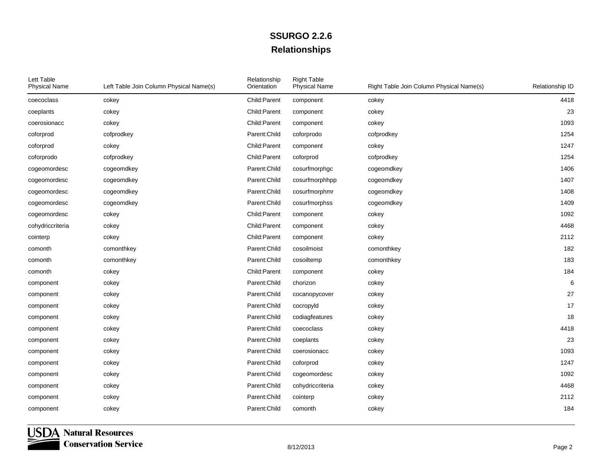| Lett Table<br><b>Physical Name</b> | Left Table Join Column Physical Name(s) | Relationship<br>Orientation | <b>Right Table</b><br><b>Physical Name</b> | Right Table Join Column Physical Name(s) | Relationship ID |
|------------------------------------|-----------------------------------------|-----------------------------|--------------------------------------------|------------------------------------------|-----------------|
| coecoclass                         | cokey                                   | Child:Parent                | component                                  | cokey                                    | 4418            |
| coeplants                          | cokey                                   | Child:Parent                | component                                  | cokey                                    | 23              |
| coerosionacc                       | cokey                                   | Child:Parent                | component                                  | cokey                                    | 1093            |
| coforprod                          | cofprodkey                              | Parent: Child               | coforprodo                                 | cofprodkey                               | 1254            |
| coforprod                          | cokey                                   | Child:Parent                | component                                  | cokey                                    | 1247            |
| coforprodo                         | cofprodkey                              | Child:Parent                | coforprod                                  | cofprodkey                               | 1254            |
| cogeomordesc                       | cogeomdkey                              | Parent: Child               | cosurfmorphgc                              | cogeomdkey                               | 1406            |
| cogeomordesc                       | cogeomdkey                              | Parent: Child               | cosurfmorphhpp                             | cogeomdkey                               | 1407            |
| cogeomordesc                       | cogeomdkey                              | Parent: Child               | cosurfmorphmr                              | cogeomdkey                               | 1408            |
| cogeomordesc                       | cogeomdkey                              | Parent: Child               | cosurfmorphss                              | cogeomdkey                               | 1409            |
| cogeomordesc                       | cokey                                   | Child:Parent                | component                                  | cokey                                    | 1092            |
| cohydriccriteria                   | cokey                                   | Child: Parent               | component                                  | cokey                                    | 4468            |
| cointerp                           | cokey                                   | Child:Parent                | component                                  | cokey                                    | 2112            |
| comonth                            | comonthkey                              | Parent: Child               | cosoilmoist                                | comonthkey                               | 182             |
| comonth                            | comonthkey                              | Parent: Child               | cosoiltemp                                 | comonthkey                               | 183             |
| comonth                            | cokey                                   | Child:Parent                | component                                  | cokey                                    | 184             |
| component                          | cokey                                   | Parent: Child               | chorizon                                   | cokey                                    | 6               |
| component                          | cokey                                   | Parent: Child               | cocanopycover                              | cokey                                    | 27              |
| component                          | cokey                                   | Parent: Child               | cocropyId                                  | cokey                                    | 17              |
| component                          | cokey                                   | Parent: Child               | codiagfeatures                             | cokey                                    | 18              |
| component                          | cokey                                   | Parent:Child                | coecoclass                                 | cokey                                    | 4418            |
| component                          | cokey                                   | Parent: Child               | coeplants                                  | cokey                                    | 23              |
| component                          | cokey                                   | Parent: Child               | coerosionacc                               | cokey                                    | 1093            |
| component                          | cokey                                   | Parent:Child                | coforprod                                  | cokey                                    | 1247            |
| component                          | cokey                                   | Parent:Child                | cogeomordesc                               | cokey                                    | 1092            |
| component                          | cokey                                   | Parent: Child               | cohydriccriteria                           | cokey                                    | 4468            |
| component                          | cokey                                   | Parent:Child                | cointerp                                   | cokey                                    | 2112            |
| component                          | cokey                                   | Parent:Child                | comonth                                    | cokey                                    | 184             |

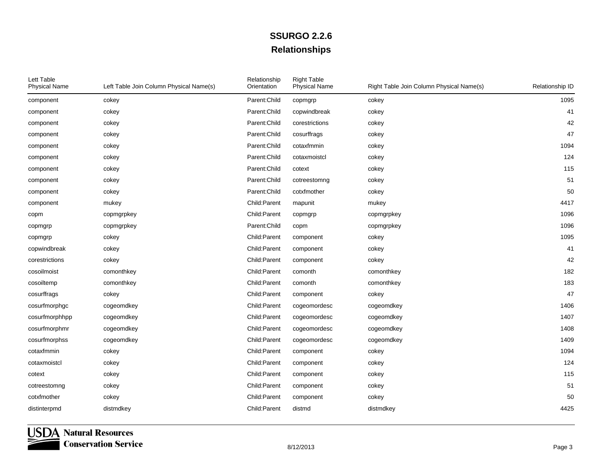| Lett Table<br><b>Physical Name</b> | Left Table Join Column Physical Name(s) | Relationship<br>Orientation | <b>Right Table</b><br><b>Physical Name</b> | Right Table Join Column Physical Name(s) | Relationship ID |
|------------------------------------|-----------------------------------------|-----------------------------|--------------------------------------------|------------------------------------------|-----------------|
| component                          | cokey                                   | Parent: Child               | copmgrp                                    | cokey                                    | 1095            |
| component                          | cokey                                   | Parent:Child                | copwindbreak                               | cokey                                    | 41              |
| component                          | cokey                                   | Parent: Child               | corestrictions                             | cokey                                    | 42              |
| component                          | cokey                                   | Parent: Child               | cosurffrags                                | cokey                                    | 47              |
| component                          | cokey                                   | Parent:Child                | cotaxfmmin                                 | cokey                                    | 1094            |
| component                          | cokey                                   | Parent:Child                | cotaxmoistcl                               | cokey                                    | 124             |
| component                          | cokey                                   | Parent: Child               | cotext                                     | cokey                                    | 115             |
| component                          | cokey                                   | Parent: Child               | cotreestomng                               | cokey                                    | 51              |
| component                          | cokey                                   | Parent:Child                | cotxfmother                                | cokey                                    | 50              |
| component                          | mukey                                   | Child:Parent                | mapunit                                    | mukey                                    | 4417            |
| copm                               | copmgrpkey                              | Child:Parent                | copmgrp                                    | copmgrpkey                               | 1096            |
| copmgrp                            | copmgrpkey                              | Parent: Child               | copm                                       | copmgrpkey                               | 1096            |
| copmgrp                            | cokey                                   | Child:Parent                | component                                  | cokey                                    | 1095            |
| copwindbreak                       | cokey                                   | Child:Parent                | component                                  | cokey                                    | 41              |
| corestrictions                     | cokey                                   | Child:Parent                | component                                  | cokey                                    | 42              |
| cosoilmoist                        | comonthkey                              | Child:Parent                | comonth                                    | comonthkey                               | 182             |
| cosoiltemp                         | comonthkey                              | Child:Parent                | comonth                                    | comonthkey                               | 183             |
| cosurffrags                        | cokey                                   | Child:Parent                | component                                  | cokey                                    | 47              |
| cosurfmorphgc                      | cogeomdkey                              | Child:Parent                | cogeomordesc                               | cogeomdkey                               | 1406            |
| cosurfmorphhpp                     | cogeomdkey                              | Child:Parent                | cogeomordesc                               | cogeomdkey                               | 1407            |
| cosurfmorphmr                      | cogeomdkey                              | Child:Parent                | cogeomordesc                               | cogeomdkey                               | 1408            |
| cosurfmorphss                      | cogeomdkey                              | Child:Parent                | cogeomordesc                               | cogeomdkey                               | 1409            |
| cotaxfmmin                         | cokey                                   | Child:Parent                | component                                  | cokey                                    | 1094            |
| cotaxmoistcl                       | cokey                                   | Child:Parent                | component                                  | cokey                                    | 124             |
| cotext                             | cokey                                   | Child:Parent                | component                                  | cokey                                    | 115             |
| cotreestomng                       | cokey                                   | Child:Parent                | component                                  | cokey                                    | 51              |
| cotxfmother                        | cokey                                   | Child:Parent                | component                                  | cokey                                    | 50              |
| distinterpmd                       | distmdkey                               | Child:Parent                | distmd                                     | distmdkey                                | 4425            |

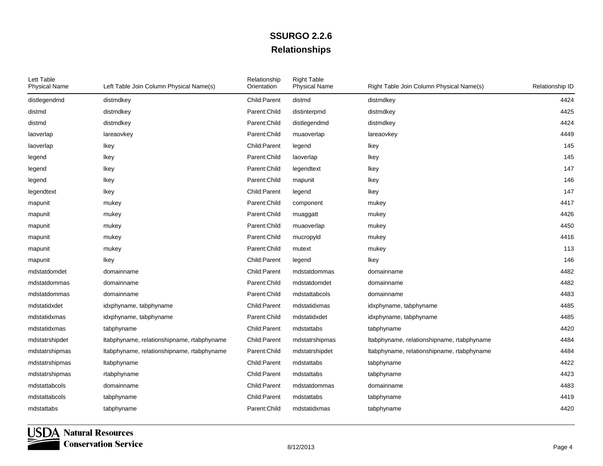| Lett Table<br><b>Physical Name</b> | Left Table Join Column Physical Name(s)    | Relationship<br>Orientation | <b>Right Table</b><br><b>Physical Name</b> | Right Table Join Column Physical Name(s)   | Relationship ID |
|------------------------------------|--------------------------------------------|-----------------------------|--------------------------------------------|--------------------------------------------|-----------------|
| distlegendmd                       | distmdkey                                  | Child:Parent                | distmd                                     | distmdkey                                  | 4424            |
| distmd                             | distmdkey                                  | Parent: Child               | distinterpmd                               | distmdkey                                  | 4425            |
| distmd                             | distmdkey                                  | Parent: Child               | distlegendmd                               | distmdkey                                  | 4424            |
| laoverlap                          | lareaovkey                                 | Parent: Child               | muaoverlap                                 | lareaovkey                                 | 4449            |
| laoverlap                          | Ikey                                       | Child:Parent                | legend                                     | Ikey                                       | 145             |
| legend                             | Ikey                                       | Parent: Child               | laoverlap                                  | Ikey                                       | 145             |
| legend                             | Ikey                                       | Parent: Child               | legendtext                                 | Ikey                                       | 147             |
| legend                             | Ikey                                       | Parent: Child               | mapunit                                    | Ikey                                       | 146             |
| legendtext                         | Ikey                                       | Child:Parent                | legend                                     | Ikey                                       | 147             |
| mapunit                            | mukey                                      | Parent: Child               | component                                  | mukey                                      | 4417            |
| mapunit                            | mukey                                      | Parent: Child               | muaggatt                                   | mukey                                      | 4426            |
| mapunit                            | mukey                                      | Parent:Child                | muaoverlap                                 | mukey                                      | 4450            |
| mapunit                            | mukey                                      | Parent:Child                | mucropyld                                  | mukey                                      | 4416            |
| mapunit                            | mukey                                      | Parent:Child                | mutext                                     | mukey                                      | 113             |
| mapunit                            | Ikey                                       | Child:Parent                | legend                                     | Ikey                                       | 146             |
| mdstatdomdet                       | domainname                                 | Child:Parent                | mdstatdommas                               | domainname                                 | 4482            |
| mdstatdommas                       | domainname                                 | Parent: Child               | mdstatdomdet                               | domainname                                 | 4482            |
| mdstatdommas                       | domainname                                 | Parent:Child                | mdstattabcols                              | domainname                                 | 4483            |
| mdstatidxdet                       | idxphyname, tabphyname                     | Child:Parent                | mdstatidxmas                               | idxphyname, tabphyname                     | 4485            |
| mdstatidxmas                       | idxphyname, tabphyname                     | Parent: Child               | mdstatidxdet                               | idxphyname, tabphyname                     | 4485            |
| mdstatidxmas                       | tabphyname                                 | Child:Parent                | mdstattabs                                 | tabphyname                                 | 4420            |
| mdstatrshipdet                     | Itabphyname, relationshipname, rtabphyname | Child:Parent                | mdstatrshipmas                             | Itabphyname, relationshipname, rtabphyname | 4484            |
| mdstatrshipmas                     | Itabphyname, relationshipname, rtabphyname | Parent: Child               | mdstatrshipdet                             | Itabphyname, relationshipname, rtabphyname | 4484            |
| mdstatrshipmas                     | Itabphyname                                | Child: Parent               | mdstattabs                                 | tabphyname                                 | 4422            |
| mdstatrshipmas                     | rtabphyname                                | Child:Parent                | mdstattabs                                 | tabphyname                                 | 4423            |
| mdstattabcols                      | domainname                                 | Child: Parent               | mdstatdommas                               | domainname                                 | 4483            |
| mdstattabcols                      | tabphyname                                 | Child:Parent                | mdstattabs                                 | tabphyname                                 | 4419            |
| mdstattabs                         | tabphyname                                 | Parent: Child               | mdstatidxmas                               | tabphyname                                 | 4420            |